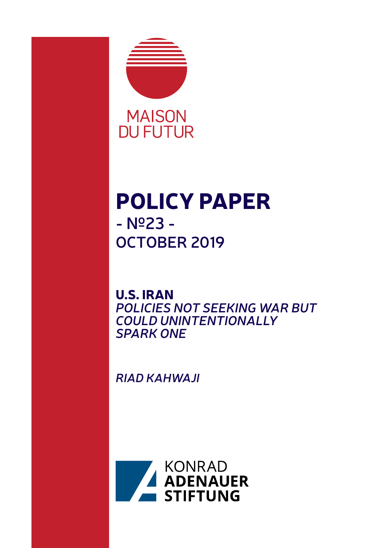

# POLICY PAPER **- Nº23 - OCTOBER 2019**

U.S. IRAN *POLICIES NOT SEEKING WAR BUT COULD UNINTENTIONALLY SPARK ONE*

*RIAD KAHWAJI*

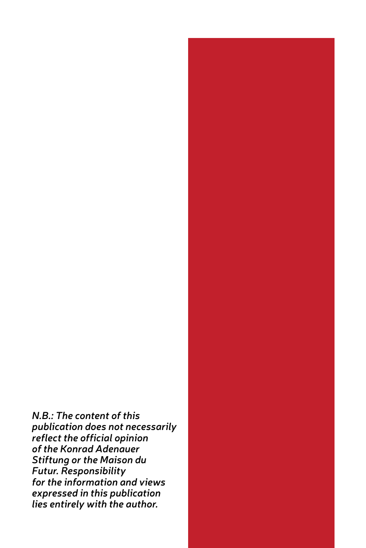*N.B.: The content of this publication does not necessarily reflect the official opinion of the Konrad Adenauer Stiftung or the Maison du Futur. Responsibility for the information and views expressed in this publication lies entirely with the author.*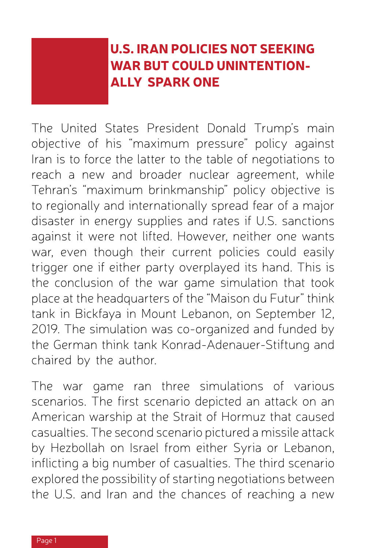## U.S. IRAN POLICIES NOT SEEKING WAR BUT COULD UNINTENTION-ALLY SPARK ONE

The United States President Donald Trump's main objective of his "maximum pressure" policy against Iran is to force the latter to the table of negotiations to reach a new and broader nuclear agreement, while Tehran's "maximum brinkmanship" policy objective is to regionally and internationally spread fear of a major disaster in energy supplies and rates if U.S. sanctions against it were not lifted. However, neither one wants war, even though their current policies could easily trigger one if either party overplayed its hand. This is the conclusion of the war game simulation that took place at the headquarters of the "Maison du Futur" think tank in Bickfaya in Mount Lebanon, on September 12, 2019. The simulation was co-organized and funded by the German think tank Konrad-Adenauer-Stiftung and chaired by the author.

The war game ran three simulations of various scenarios. The first scenario depicted an attack on an American warship at the Strait of Hormuz that caused casualties. The second scenario pictured a missile attack by Hezbollah on Israel from either Syria or Lebanon, inflicting a big number of casualties. The third scenario explored the possibility of starting negotiations between the U.S. and Iran and the chances of reaching a new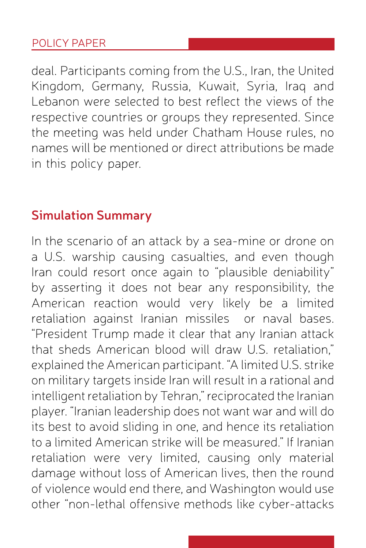deal. Participants coming from the U.S., Iran, the United Kingdom, Germany, Russia, Kuwait, Syria, Iraq and Lebanon were selected to best reflect the views of the respective countries or groups they represented. Since the meeting was held under Chatham House rules, no names will be mentioned or direct attributions be made in this policy paper.

## **Simulation Summary**

In the scenario of an attack by a sea-mine or drone on a U.S. warship causing casualties, and even though Iran could resort once again to "plausible deniability" by asserting it does not bear any responsibility, the American reaction would very likely be a limited retaliation against Iranian missiles or naval bases. "President Trump made it clear that any Iranian attack that sheds American blood will draw U.S. retaliation," explained the American participant. "A limited U.S. strike on military targets inside Iran will result in a rational and intelligent retaliation by Tehran," reciprocated the Iranian player. "Iranian leadership does not want war and will do its best to avoid sliding in one, and hence its retaliation to a limited American strike will be measured." If Iranian retaliation were very limited, causing only material damage without loss of American lives, then the round of violence would end there, and Washington would use other "non-lethal offensive methods like cyber-attacks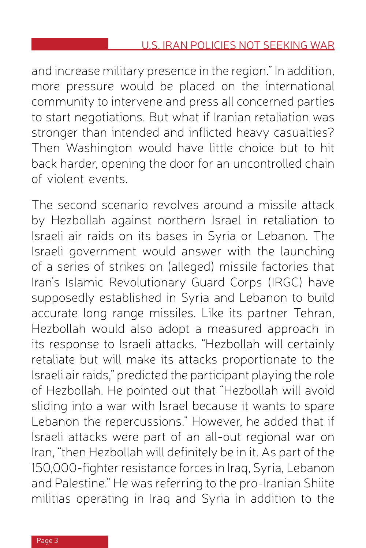and increase military presence in the region." In addition, more pressure would be placed on the international community to intervene and press all concerned parties to start negotiations. But what if Iranian retaliation was stronger than intended and inflicted heavy casualties? Then Washington would have little choice but to hit back harder, opening the door for an uncontrolled chain of violent events.

The second scenario revolves around a missile attack by Hezbollah against northern Israel in retaliation to Israeli air raids on its bases in Syria or Lebanon. The Israeli government would answer with the launching of a series of strikes on (alleged) missile factories that Iran's Islamic Revolutionary Guard Corps (IRGC) have supposedly established in Syria and Lebanon to build accurate long range missiles. Like its partner Tehran, Hezbollah would also adopt a measured approach in its response to Israeli attacks. "Hezbollah will certainly retaliate but will make its attacks proportionate to the Israeli air raids," predicted the participant playing the role of Hezbollah. He pointed out that "Hezbollah will avoid sliding into a war with Israel because it wants to spare Lebanon the repercussions." However, he added that if Israeli attacks were part of an all-out regional war on Iran, "then Hezbollah will definitely be in it. As part of the 150,000-fighter resistance forces in Iraq, Syria, Lebanon and Palestine." He was referring to the pro-Iranian Shiite militias operating in Iraq and Syria in addition to the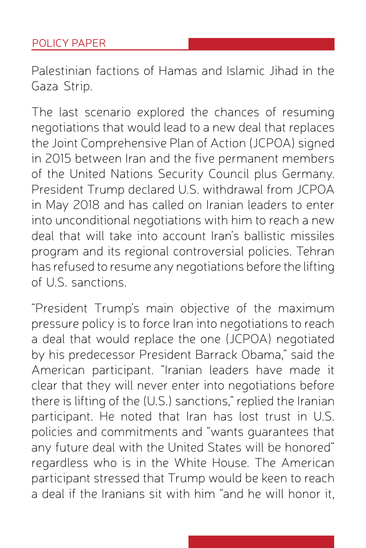Palestinian factions of Hamas and Islamic Jihad in the Gaza Strip.

The last scenario explored the chances of resuming negotiations that would lead to a new deal that replaces the Joint Comprehensive Plan of Action (JCPOA) signed in 2015 between Iran and the five permanent members of the United Nations Security Council plus Germany. President Trump declared U.S. withdrawal from JCPOA in May 2018 and has called on Iranian leaders to enter into unconditional negotiations with him to reach a new deal that will take into account Iran's ballistic missiles program and its regional controversial policies. Tehran has refused to resume any negotiations before the lifting of U.S. sanctions.

"President Trump's main objective of the maximum pressure policy is to force Iran into negotiations to reach a deal that would replace the one (JCPOA) negotiated by his predecessor President Barrack Obama," said the American participant. "Iranian leaders have made it clear that they will never enter into negotiations before there is lifting of the (U.S.) sanctions," replied the Iranian participant. He noted that Iran has lost trust in U.S. policies and commitments and "wants guarantees that any future deal with the United States will be honored" regardless who is in the White House. The American participant stressed that Trump would be keen to reach a deal if the Iranians sit with him "and he will honor it,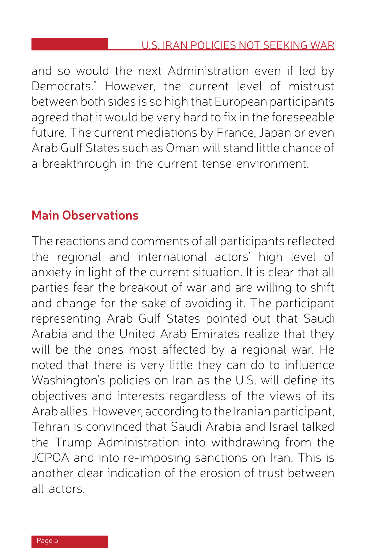and so would the next Administration even if led by Democrats." However, the current level of mistrust between both sides is so high that European participants agreed that it would be very hard to fix in the foreseeable future. The current mediations by France, Japan or even Arab Gulf States such as Oman will stand little chance of a breakthrough in the current tense environment.

## **Main Observations**

The reactions and comments of all participants reflected the regional and international actors' high level of anxiety in light of the current situation. It is clear that all parties fear the breakout of war and are willing to shift and change for the sake of avoiding it. The participant representing Arab Gulf States pointed out that Saudi Arabia and the United Arab Emirates realize that they will be the ones most affected by a regional war. He noted that there is very little they can do to influence Washington's policies on Iran as the U.S. will define its objectives and interests regardless of the views of its Arab allies. However, according to the Iranian participant, Tehran is convinced that Saudi Arabia and Israel talked the Trump Administration into withdrawing from the JCPOA and into re-imposing sanctions on Iran. This is another clear indication of the erosion of trust between all actors.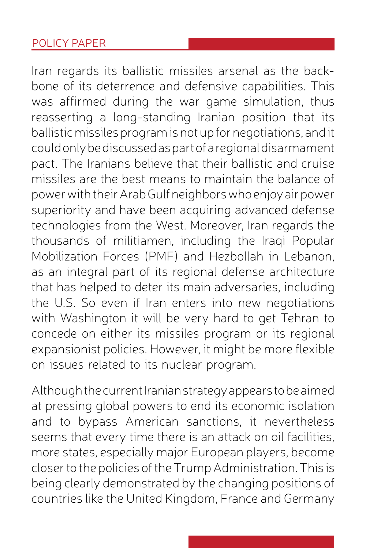Iran regards its ballistic missiles arsenal as the backbone of its deterrence and defensive capabilities. This was affirmed during the war game simulation, thus reasserting a long-standing Iranian position that its ballistic missiles program is not up for negotiations, and it could only be discussed as part of a regional disarmament pact. The Iranians believe that their ballistic and cruise missiles are the best means to maintain the balance of power with their Arab Gulf neighbors who enjoy air power superiority and have been acquiring advanced defense technologies from the West. Moreover, Iran regards the thousands of militiamen, including the Iraqi Popular Mobilization Forces (PMF) and Hezbollah in Lebanon, as an integral part of its regional defense architecture that has helped to deter its main adversaries, including the U.S. So even if Iran enters into new negotiations with Washington it will be very hard to get Tehran to concede on either its missiles program or its regional expansionist policies. However, it might be more flexible on issues related to its nuclear program.

Although the current Iranian strategy appears to be aimed at pressing global powers to end its economic isolation and to bypass American sanctions, it nevertheless seems that every time there is an attack on oil facilities, more states, especially major European players, become closer to the policies of the Trump Administration. This is being clearly demonstrated by the changing positions of countries like the United Kingdom, France and Germany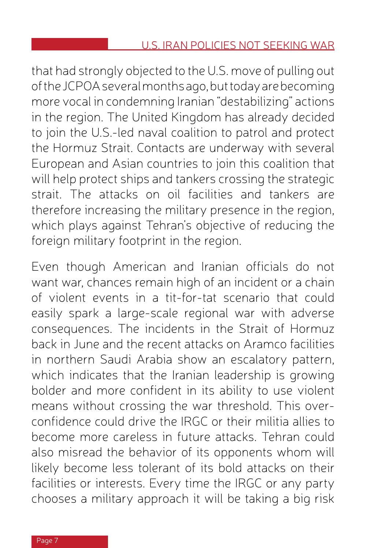that had strongly objected to the U.S. move of pulling out of the JCPOA several months ago, but today are becoming more vocal in condemning Iranian "destabilizing" actions in the region. The United Kingdom has already decided to join the U.S.-led naval coalition to patrol and protect the Hormuz Strait. Contacts are underway with several European and Asian countries to join this coalition that will help protect ships and tankers crossing the strategic strait. The attacks on oil facilities and tankers are therefore increasing the military presence in the region, which plays against Tehran's objective of reducing the foreign military footprint in the region.

Even though American and Iranian officials do not want war, chances remain high of an incident or a chain of violent events in a tit-for-tat scenario that could easily spark a large-scale regional war with adverse consequences. The incidents in the Strait of Hormuz back in June and the recent attacks on Aramco facilities in northern Saudi Arabia show an escalatory pattern, which indicates that the Iranian leadership is growing bolder and more confident in its ability to use violent means without crossing the war threshold. This overconfidence could drive the IRGC or their militia allies to become more careless in future attacks. Tehran could also misread the behavior of its opponents whom will likely become less tolerant of its bold attacks on their facilities or interests. Every time the IRGC or any party chooses a military approach it will be taking a big risk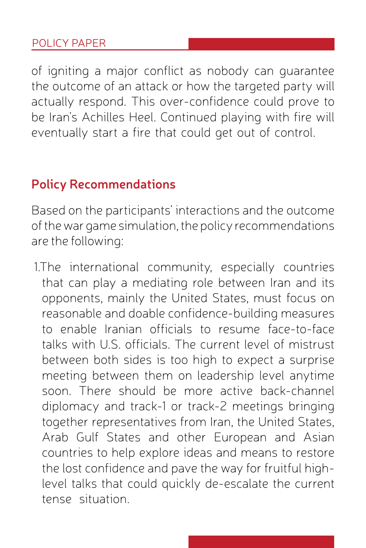of igniting a major conflict as nobody can guarantee the outcome of an attack or how the targeted party will actually respond. This over-confidence could prove to be Iran's Achilles Heel. Continued playing with fire will eventually start a fire that could get out of control.

## **Policy Recommendations**

Based on the participants' interactions and the outcome of the war game simulation, the policy recommendations are the following:

1.The international community, especially countries that can play a mediating role between Iran and its opponents, mainly the United States, must focus on reasonable and doable confidence-building measures to enable Iranian officials to resume face-to-face talks with U.S. officials. The current level of mistrust between both sides is too high to expect a surprise meeting between them on leadership level anytime soon. There should be more active back-channel diplomacy and track-1 or track-2 meetings bringing together representatives from Iran, the United States, Arab Gulf States and other European and Asian countries to help explore ideas and means to restore the lost confidence and pave the way for fruitful highlevel talks that could quickly de-escalate the current tense situation.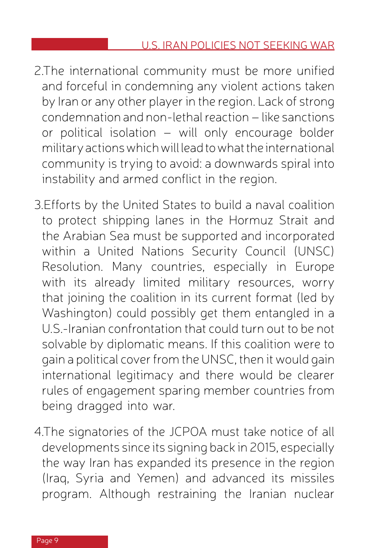- 2.The international community must be more unified and forceful in condemning any violent actions taken by Iran or any other player in the region. Lack of strong condemnation and non-lethal reaction – like sanctions or political isolation – will only encourage bolder military actions which will lead to what the international community is trying to avoid: a downwards spiral into instability and armed conflict in the region.
- 3.Efforts by the United States to build a naval coalition to protect shipping lanes in the Hormuz Strait and the Arabian Sea must be supported and incorporated within a United Nations Security Council (UNSC) Resolution. Many countries, especially in Europe with its already limited military resources, worry that joining the coalition in its current format (led by Washington) could possibly get them entangled in a U.S.-Iranian confrontation that could turn out to be not solvable by diplomatic means. If this coalition were to gain a political cover from the UNSC, then it would gain international legitimacy and there would be clearer rules of engagement sparing member countries from being dragged into war.
- 4.The signatories of the JCPOA must take notice of all developments since its signing back in 2015, especially the way Iran has expanded its presence in the region (Iraq, Syria and Yemen) and advanced its missiles program. Although restraining the Iranian nuclear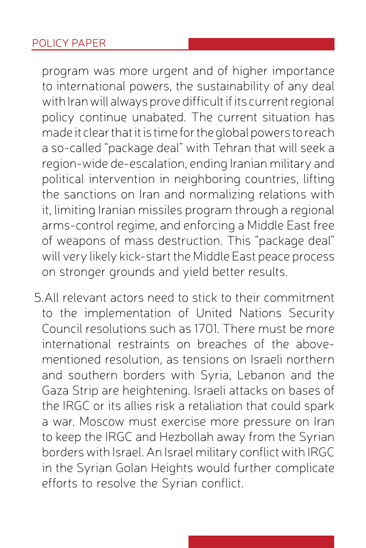program was more urgent and of higher importance to international powers, the sustainability of any deal with Iran will always prove difficult if its current regional policy continue unabated. The current situation has made it clear that it is time for the global powers to reach a so-called "package deal" with Tehran that will seek a region-wide de-escalation, ending Iranian military and political intervention in neighboring countries, lifting the sanctions on Iran and normalizing relations with it, limiting Iranian missiles program through a regional arms-control regime, and enforcing a Middle East free of weapons of mass destruction. This "package deal" will very likely kick-start the Middle East peace process on stronger grounds and yield better results.

5.All relevant actors need to stick to their commitment to the implementation of United Nations Security Council resolutions such as 1701. There must be more international restraints on breaches of the abovementioned resolution, as tensions on Israeli northern and southern borders with Syria, Lebanon and the Gaza Strip are heightening. Israeli attacks on bases of the IRGC or its allies risk a retaliation that could spark a war. Moscow must exercise more pressure on Iran to keep the IRGC and Hezbollah away from the Syrian borders with Israel. An Israel military conflict with IRGC in the Syrian Golan Heights would further complicate efforts to resolve the Syrian conflict.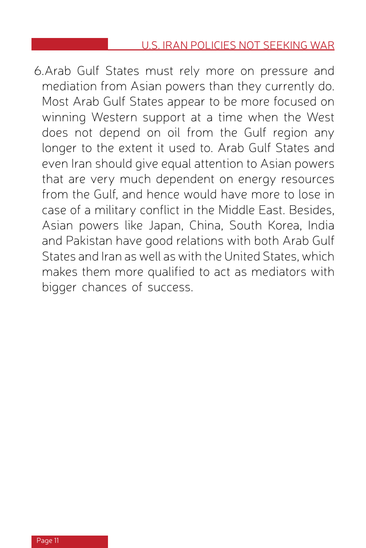6.Arab Gulf States must rely more on pressure and mediation from Asian powers than they currently do. Most Arab Gulf States appear to be more focused on winning Western support at a time when the West does not depend on oil from the Gulf region any longer to the extent it used to. Arab Gulf States and even Iran should give equal attention to Asian powers that are very much dependent on energy resources from the Gulf, and hence would have more to lose in case of a military conflict in the Middle East. Besides, Asian powers like Japan, China, South Korea, India and Pakistan have good relations with both Arab Gulf States and Iran as well as with the United States, which makes them more qualified to act as mediators with bigger chances of success.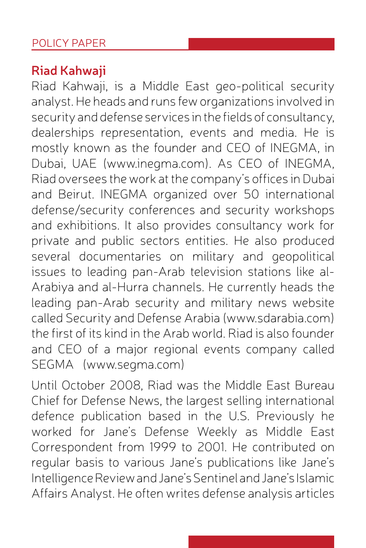## **Riad Kahwaji**

Riad Kahwaji, is a Middle East geo-political security analyst. He heads and runs few organizations involved in security and defense services in the fields of consultancy, dealerships representation, events and media. He is mostly known as the founder and CEO of INEGMA, in Dubai, UAE (www.inegma.com). As CEO of INEGMA, Riad oversees the work at the company's offices in Dubai and Beirut. INEGMA organized over 50 international defense/security conferences and security workshops and exhibitions. It also provides consultancy work for private and public sectors entities. He also produced several documentaries on military and geopolitical issues to leading pan-Arab television stations like al-Arabiya and al-Hurra channels. He currently heads the leading pan-Arab security and military news website called Security and Defense Arabia (www.sdarabia.com) the first of its kind in the Arab world. Riad is also founder and CEO of a major regional events company called SEGMA (www.segma.com)

Until October 2008, Riad was the Middle East Bureau Chief for Defense News, the largest selling international defence publication based in the U.S. Previously he worked for Jane's Defense Weekly as Middle East Correspondent from 1999 to 2001. He contributed on regular basis to various Jane's publications like Jane's Intelligence Review and Jane's Sentinel and Jane's Islamic Affairs Analyst. He often writes defense analysis articles